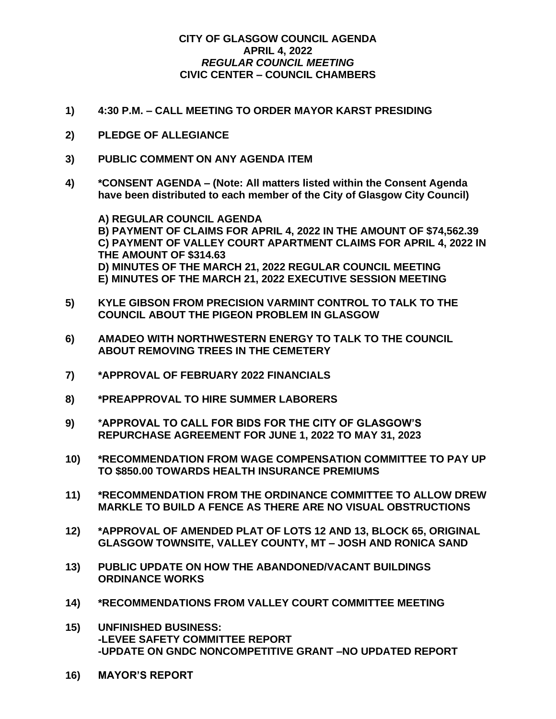## **CITY OF GLASGOW COUNCIL AGENDA APRIL 4, 2022** *REGULAR COUNCIL MEETING* **CIVIC CENTER – COUNCIL CHAMBERS**

- **1) 4:30 P.M. – CALL MEETING TO ORDER MAYOR KARST PRESIDING**
- **2) PLEDGE OF ALLEGIANCE**
- **3) PUBLIC COMMENT ON ANY AGENDA ITEM**
- **4) \*CONSENT AGENDA – (Note: All matters listed within the Consent Agenda have been distributed to each member of the City of Glasgow City Council)**

**A) REGULAR COUNCIL AGENDA B) PAYMENT OF CLAIMS FOR APRIL 4, 2022 IN THE AMOUNT OF \$74,562.39 C) PAYMENT OF VALLEY COURT APARTMENT CLAIMS FOR APRIL 4, 2022 IN THE AMOUNT OF \$314.63 D) MINUTES OF THE MARCH 21, 2022 REGULAR COUNCIL MEETING E) MINUTES OF THE MARCH 21, 2022 EXECUTIVE SESSION MEETING**

- **5) KYLE GIBSON FROM PRECISION VARMINT CONTROL TO TALK TO THE COUNCIL ABOUT THE PIGEON PROBLEM IN GLASGOW**
- **6) AMADEO WITH NORTHWESTERN ENERGY TO TALK TO THE COUNCIL ABOUT REMOVING TREES IN THE CEMETERY**
- **7) \*APPROVAL OF FEBRUARY 2022 FINANCIALS**
- **8) \*PREAPPROVAL TO HIRE SUMMER LABORERS**
- **9) \*APPROVAL TO CALL FOR BIDS FOR THE CITY OF GLASGOW'S REPURCHASE AGREEMENT FOR JUNE 1, 2022 TO MAY 31, 2023**
- **10) \*RECOMMENDATION FROM WAGE COMPENSATION COMMITTEE TO PAY UP TO \$850.00 TOWARDS HEALTH INSURANCE PREMIUMS**
- **11) \*RECOMMENDATION FROM THE ORDINANCE COMMITTEE TO ALLOW DREW MARKLE TO BUILD A FENCE AS THERE ARE NO VISUAL OBSTRUCTIONS**
- **12) \*APPROVAL OF AMENDED PLAT OF LOTS 12 AND 13, BLOCK 65, ORIGINAL GLASGOW TOWNSITE, VALLEY COUNTY, MT – JOSH AND RONICA SAND**
- **13) PUBLIC UPDATE ON HOW THE ABANDONED/VACANT BUILDINGS ORDINANCE WORKS**
- **14) \*RECOMMENDATIONS FROM VALLEY COURT COMMITTEE MEETING**
- **15) UNFINISHED BUSINESS: -LEVEE SAFETY COMMITTEE REPORT -UPDATE ON GNDC NONCOMPETITIVE GRANT –NO UPDATED REPORT**
- **16) MAYOR'S REPORT**